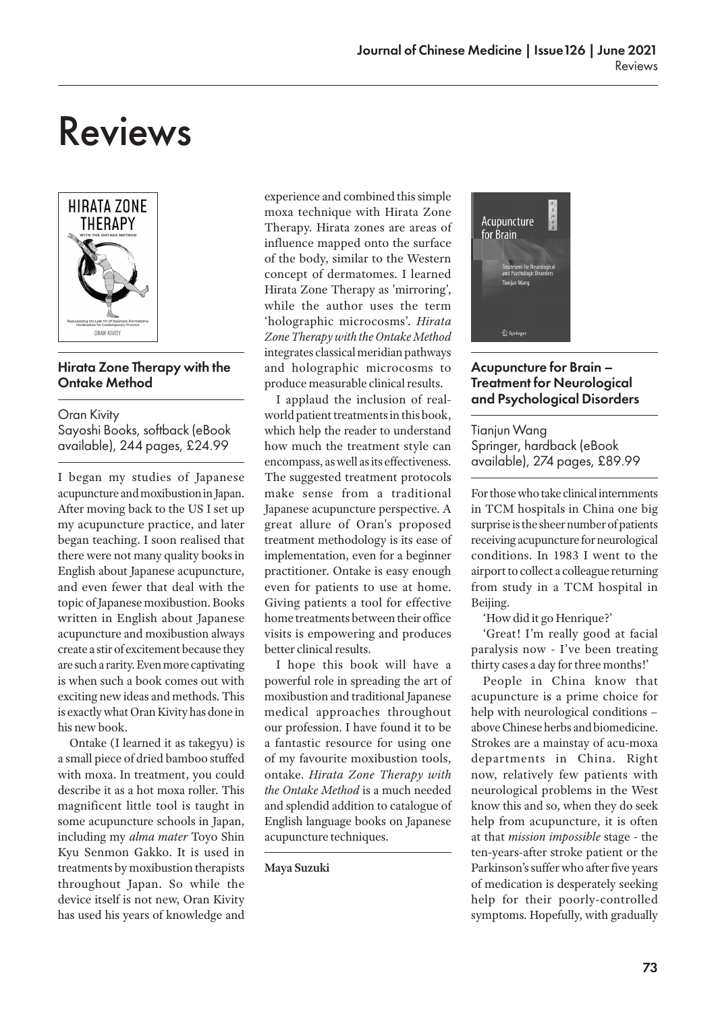# Reviews



## Hirata Zone Therapy with the Ontake Method

Oran Kivity Sayoshi Books, softback (eBook available), 244 pages, £24.99

I began my studies of Japanese acupuncture and moxibustion in Japan. After moving back to the US I set up my acupuncture practice, and later began teaching. I soon realised that there were not many quality books in English about Japanese acupuncture, and even fewer that deal with the topic of Japanese moxibustion. Books written in English about Japanese acupuncture and moxibustion always create a stir of excitement because they are such a rarity. Even more captivating is when such a book comes out with exciting new ideas and methods. This is exactly what Oran Kivity has done in his new book.

Ontake (I learned it as takegyu) is a small piece of dried bamboo stuffed with moxa. In treatment, you could describe it as a hot moxa roller. This magnificent little tool is taught in some acupuncture schools in Japan, including my *alma mater* Toyo Shin Kyu Senmon Gakko. It is used in treatments by moxibustion therapists throughout Japan. So while the device itself is not new, Oran Kivity has used his years of knowledge and experience and combined this simple moxa technique with Hirata Zone Therapy. Hirata zones are areas of influence mapped onto the surface of the body, similar to the Western concept of dermatomes. I learned Hirata Zone Therapy as 'mirroring', while the author uses the term 'holographic microcosms'. *Hirata Zone Therapy with the Ontake Method* integrates classical meridian pathways and holographic microcosms to produce measurable clinical results.

I applaud the inclusion of realworld patient treatments in this book, which help the reader to understand how much the treatment style can encompass, as well as its effectiveness. The suggested treatment protocols make sense from a traditional Japanese acupuncture perspective. A great allure of Oran's proposed treatment methodology is its ease of implementation, even for a beginner practitioner. Ontake is easy enough even for patients to use at home. Giving patients a tool for effective home treatments between their office visits is empowering and produces better clinical results.

I hope this book will have a powerful role in spreading the art of moxibustion and traditional Japanese medical approaches throughout our profession. I have found it to be a fantastic resource for using one of my favourite moxibustion tools, ontake. *Hirata Zone Therapy with the Ontake Method* is a much needed and splendid addition to catalogue of English language books on Japanese acupuncture techniques.

### **Maya Suzuki**



## Acupuncture for Brain – Treatment for Neurological and Psychological Disorders

**Tianiun Wana** Springer, hardback (eBook available), 274 pages, £89.99

For those who take clinical internments in TCM hospitals in China one big surprise is the sheer number of patients receiving acupuncture for neurological conditions. In 1983 I went to the airport to collect a colleague returning from study in a TCM hospital in Beijing.

'How did it go Henrique?'

'Great! I'm really good at facial paralysis now - I've been treating thirty cases a day for three months!'

People in China know that acupuncture is a prime choice for help with neurological conditions – above Chinese herbs and biomedicine. Strokes are a mainstay of acu-moxa departments in China. Right now, relatively few patients with neurological problems in the West know this and so, when they do seek help from acupuncture, it is often at that *mission impossible* stage - the ten-years-after stroke patient or the Parkinson's suffer who after five years of medication is desperately seeking help for their poorly-controlled symptoms. Hopefully, with gradually